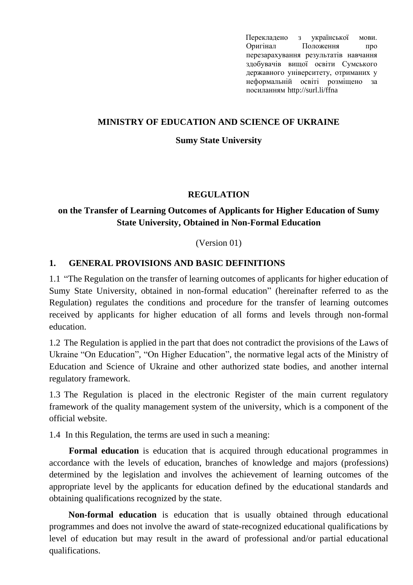Перекладено з української мови. Оригінал Положення [про](https://normative.sumdu.edu.ua/?task=getfile&tmpl=component&id=064a4588-a442-ea11-afa3-001a4be6d04a&kind=1)  [перезарахування результатів навчання](https://normative.sumdu.edu.ua/?task=getfile&tmpl=component&id=064a4588-a442-ea11-afa3-001a4be6d04a&kind=1)  [здобувачів вищої освіти Сумського](https://normative.sumdu.edu.ua/?task=getfile&tmpl=component&id=064a4588-a442-ea11-afa3-001a4be6d04a&kind=1)  [державного університету, отриманих у](https://normative.sumdu.edu.ua/?task=getfile&tmpl=component&id=064a4588-a442-ea11-afa3-001a4be6d04a&kind=1)  [неформальній освіті](https://normative.sumdu.edu.ua/?task=getfile&tmpl=component&id=064a4588-a442-ea11-afa3-001a4be6d04a&kind=1) розміщено за посиланням http://surl.li/ffna

## **MINISTRY OF EDUCATION AND SCIENCE OF UKRAINE**

### **Sumy State University**

## **REGULATION**

# **on the Transfer of Learning Outcomes of Applicants for Higher Education of Sumy State University, Obtained in Non-Formal Education**

(Version 01)

## **1. GENERAL PROVISIONS AND BASIC DEFINITIONS**

1.1 "The Regulation on the transfer of learning outcomes of applicants for higher education of Sumy State University, obtained in non-formal education" (hereinafter referred to as the Regulation) regulates the conditions and procedure for the transfer of learning outcomes received by applicants for higher education of all forms and levels through non-formal education.

1.2 The Regulation is applied in the part that does not contradict the provisions of the Laws of Ukraine "On Education", "On Higher Education", the normative legal acts of the Ministry of Education and Science of Ukraine and other authorized state bodies, and another internal regulatory framework.

1.3 The Regulation is placed in the electronic Register of the main current regulatory framework of the quality management system of the university, which is a component of the official website.

1.4 In this Regulation, the terms are used in such a meaning:

**Formal education** is education that is acquired through educational programmes in accordance with the levels of education, branches of knowledge and majors (professions) determined by the legislation and involves the achievement of learning outcomes of the appropriate level by the applicants for education defined by the educational standards and obtaining qualifications recognized by the state.

**Non-formal education** is education that is usually obtained through educational programmes and does not involve the award of state-recognized educational qualifications by level of education but may result in the award of professional and/or partial educational qualifications.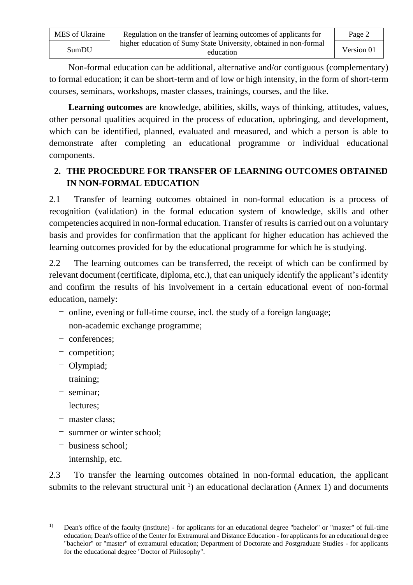| MES of Ukraine | Regulation on the transfer of learning outcomes of applicants for              | Page 2     |
|----------------|--------------------------------------------------------------------------------|------------|
| SumDU          | higher education of Sumy State University, obtained in non-formal<br>education | Version 01 |

Non-formal education can be additional, alternative and/or contiguous (complementary) to formal education; it can be short-term and of low or high intensity, in the form of short-term courses, seminars, workshops, master classes, trainings, courses, and the like.

**Learning outcomes** are knowledge, abilities, skills, ways of thinking, attitudes, values, other personal qualities acquired in the process of education, upbringing, and development, which can be identified, planned, evaluated and measured, and which a person is able to demonstrate after completing an educational programme or individual educational components.

# **2. THE PROCEDURE FOR TRANSFER OF LEARNING OUTCOMES OBTAINED IN NON-FORMAL EDUCATION**

2.1 Transfer of learning outcomes obtained in non-formal education is a process of recognition (validation) in the formal education system of knowledge, skills and other competencies acquired in non-formal education. Transfer of results is carried out on a voluntary basis and provides for confirmation that the applicant for higher education has achieved the learning outcomes provided for by the educational programme for which he is studying.

2.2 The learning outcomes can be transferred, the receipt of which can be confirmed by relevant document (certificate, diploma, etc.), that can uniquely identify the applicant's identity and confirm the results of his involvement in a certain educational event of non-formal education, namely:

- ‒ online, evening or full-time course, incl. the study of a foreign language;
- ‒ non-academic exchange programme;
- ‒ conferences;
- competition;
- ‒ Olympiad;
- ‒ training;
- ‒ seminar;
- ‒ lectures;
- master class;
- ‒ summer or winter school;
- business school;
- $-$  internship, etc.

2.3 To transfer the learning outcomes obtained in non-formal education, the applicant submits to the relevant structural unit  $\frac{1}{1}$  an educational declaration (Annex 1) and documents

<sup>&</sup>lt;sup>1)</sup> Dean's office of the faculty (institute) - for applicants for an educational degree "bachelor" or "master" of full-time education; Dean's office of the Center for Extramural and Distance Education - for applicants for an educational degree "bachelor" or "master" of extramural education; Department of Doctorate and Postgraduate Studies - for applicants for the educational degree "Doctor of Philosophy".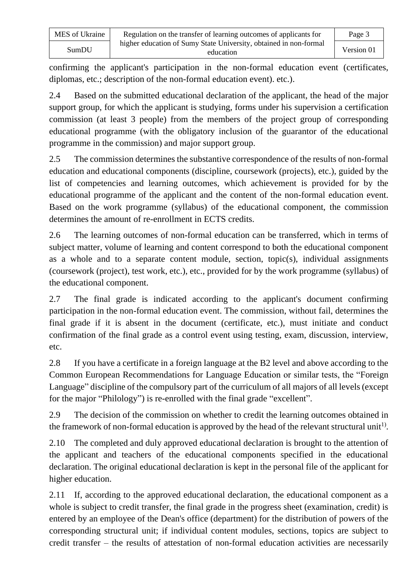| MES of Ukraine | Regulation on the transfer of learning outcomes of applicants for              | Page 3     |
|----------------|--------------------------------------------------------------------------------|------------|
| SumDU          | higher education of Sumy State University, obtained in non-formal<br>education | Version 01 |

confirming the applicant's participation in the non-formal education event (certificates, diplomas, etc.; description of the non-formal education event). etc.).

2.4 Based on the submitted educational declaration of the applicant, the head of the major support group, for which the applicant is studying, forms under his supervision a certification commission (at least 3 people) from the members of the project group of corresponding educational programme (with the obligatory inclusion of the guarantor of the educational programme in the commission) and major support group.

2.5 The commission determines the substantive correspondence of the results of non-formal education and educational components (discipline, coursework (projects), etc.), guided by the list of competencies and learning outcomes, which achievement is provided for by the educational programme of the applicant and the content of the non-formal education event. Based on the work programme (syllabus) of the educational component, the commission determines the amount of re-enrollment in ECTS credits.

2.6 The learning outcomes of non-formal education can be transferred, which in terms of subject matter, volume of learning and content correspond to both the educational component as a whole and to a separate content module, section, topic(s), individual assignments (coursework (project), test work, etc.), etc., provided for by the work programme (syllabus) of the educational component.

2.7 The final grade is indicated according to the applicant's document confirming participation in the non-formal education event. The commission, without fail, determines the final grade if it is absent in the document (certificate, etc.), must initiate and conduct confirmation of the final grade as a control event using testing, exam, discussion, interview, etc.

2.8 If you have a certificate in a foreign language at the B2 level and above according to the Common European Recommendations for Language Education or similar tests, the "Foreign Language" discipline of the compulsory part of the curriculum of all majors of all levels (except for the major "Philology") is re-enrolled with the final grade "excellent".

2.9 The decision of the commission on whether to credit the learning outcomes obtained in the framework of non-formal education is approved by the head of the relevant structural unit<sup>1)</sup>.

2.10 The completed and duly approved educational declaration is brought to the attention of the applicant and teachers of the educational components specified in the educational declaration. The original educational declaration is kept in the personal file of the applicant for higher education.

2.11 If, according to the approved educational declaration, the educational component as a whole is subject to credit transfer, the final grade in the progress sheet (examination, credit) is entered by an employee of the Dean's office (department) for the distribution of powers of the corresponding structural unit; if individual content modules, sections, topics are subject to credit transfer – the results of attestation of non-formal education activities are necessarily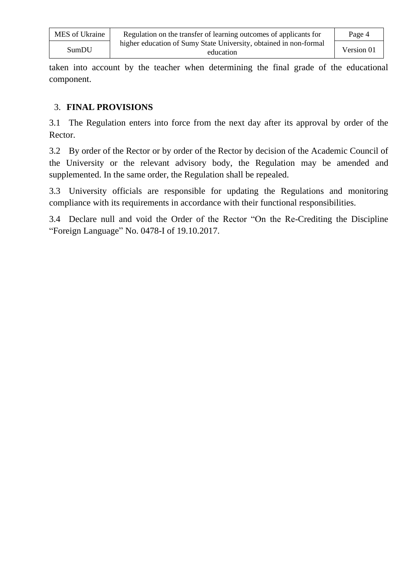| MES of Ukraine | Regulation on the transfer of learning outcomes of applicants for              | Page 4     |
|----------------|--------------------------------------------------------------------------------|------------|
| SumDU          | higher education of Sumy State University, obtained in non-formal<br>education | Version 01 |

taken into account by the teacher when determining the final grade of the educational component.

## 3. **FINAL PROVISIONS**

3.1 The Regulation enters into force from the next day after its approval by order of the Rector.

3.2 By order of the Rector or by order of the Rector by decision of the Academic Council of the University or the relevant advisory body, the Regulation may be amended and supplemented. In the same order, the Regulation shall be repealed.

3.3 University officials are responsible for updating the Regulations and monitoring compliance with its requirements in accordance with their functional responsibilities.

3.4 Declare null and void the Order of the Rector "On the Re-Crediting the Discipline "Foreign Language" No. 0478-I of 19.10.2017.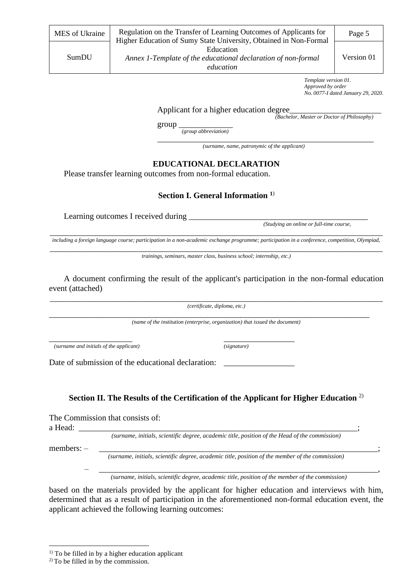*Template version 01. Approved by order No. 0077-I dated January 29, 2020.*

Applicant for a higher education degree\_

*(Bachelor, Master or Doctor of Philosophy)*

group \_\_\_\_\_\_\_\_\_\_\_\_\_

*(group abbreviation)*

\_\_\_\_\_\_\_\_\_\_\_\_\_\_\_\_\_\_\_\_\_\_\_\_\_\_\_\_\_\_\_\_\_\_\_\_\_\_\_\_\_\_\_\_\_\_\_\_\_\_\_\_ *(surname, name, patronymic of the applicant)*

### **EDUCATIONAL DECLARATION**

Please transfer learning outcomes from non-formal education.

\_\_\_\_\_\_\_\_\_\_\_\_\_\_\_\_\_\_\_\_ \_\_\_\_\_\_\_\_\_\_\_\_\_\_\_\_\_

### **Section I. General Information <sup>1</sup>**)

Learning outcomes I received during

*(Studying an online or full-time course,*

\_\_\_\_\_\_\_\_\_\_\_\_\_\_\_\_\_\_\_\_\_\_\_\_\_\_\_\_\_\_\_\_\_\_\_\_\_\_\_\_\_\_\_\_\_\_\_\_\_\_\_\_\_\_\_\_\_\_\_\_\_\_\_\_\_\_\_\_\_\_\_\_\_\_\_\_\_\_\_\_ *including a foreign language course; participation in a non-academic exchange programme; participation in a conference, competition, Olympiad,* 

\_\_\_\_\_\_\_\_\_\_\_\_\_\_\_\_\_\_\_\_\_\_\_\_\_\_\_\_\_\_\_\_\_\_\_\_\_\_\_\_\_\_\_\_\_\_\_\_\_\_\_\_\_\_\_\_\_\_\_\_\_\_\_\_\_\_\_\_\_\_\_\_\_\_\_\_\_\_\_\_ *trainings, seminars, master class, business school; internship, etc.)*

A document confirming the result of the applicant's participation in the non-formal education event (attached)

\_\_\_\_\_\_\_\_\_\_\_\_\_\_\_\_\_\_\_\_\_\_\_\_\_\_\_\_\_\_\_\_\_\_\_\_\_\_\_\_\_\_\_\_\_\_\_\_\_\_\_\_\_\_\_\_\_\_\_\_\_\_\_\_\_\_\_\_\_\_\_\_\_\_\_\_\_\_\_\_ *(certificate, diploma, etc.)*

\_\_\_\_\_\_\_\_\_\_\_\_\_\_\_\_\_\_\_\_\_\_\_\_\_\_\_\_\_\_\_\_\_\_\_\_\_\_\_\_\_\_\_\_\_\_\_\_\_\_\_\_\_\_\_\_\_\_\_\_\_\_\_\_\_\_\_\_\_\_\_\_\_\_\_\_\_

*(name of the institution (enterprise, organization) that issued the document)*

*(surname and initials of the applicant) (signature)*

Date of submission of the educational declaration:

## **Section II. The Results of the Certification of the Applicant for Higher Education** 2)

The Commission that consists of:

a Head:

*(surname, initials, scientific degree, academic title, position of the Head of the commission)*

members: – \_\_\_\_\_\_\_\_\_\_\_\_\_\_\_\_\_\_\_\_\_\_\_\_\_\_\_\_\_\_\_\_\_\_\_\_\_\_\_\_\_\_\_\_\_\_\_\_\_\_\_\_\_\_\_\_\_\_\_\_\_\_\_\_\_\_\_;

*(surname, initials, scientific degree, academic title, position of the member of the commission)*

 – \_\_\_\_\_\_\_\_\_\_\_\_\_\_\_\_\_\_\_\_\_\_\_\_\_\_\_\_\_\_\_\_\_\_\_\_\_\_\_\_\_\_\_\_\_\_\_\_\_\_\_\_\_\_\_\_\_\_\_\_\_\_\_\_\_\_\_, *(surname, initials, scientific degree, academic title, position of the member of the commission)*

based on the materials provided by the applicant for higher education and interviews with him, determined that as a result of participation in the aforementioned non-formal education event, the applicant achieved the following learning outcomes:

 $<sup>1)</sup>$  To be filled in by a higher education applicant</sup>

<sup>2)</sup> To be filled in by the commission.